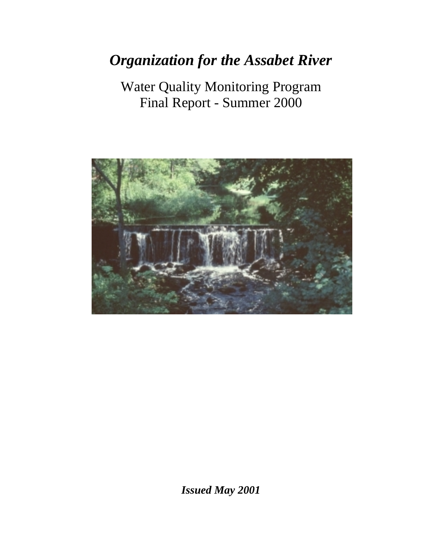# *Organization for the Assabet River*

Water Quality Monitoring Program Final Report - Summer 2000



*Issued May 2001*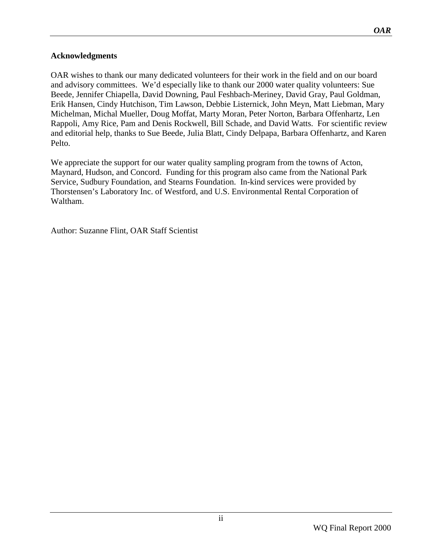## <span id="page-1-0"></span>**Acknowledgments**

OAR wishes to thank our many dedicated volunteers for their work in the field and on our board and advisory committees. We'd especially like to thank our 2000 water quality volunteers: Sue Beede, Jennifer Chiapella, David Downing, Paul Feshbach-Meriney, David Gray, Paul Goldman, Erik Hansen, Cindy Hutchison, Tim Lawson, Debbie Listernick, John Meyn, Matt Liebman, Mary Michelman, Michal Mueller, Doug Moffat, Marty Moran, Peter Norton, Barbara Offenhartz, Len Rappoli, Amy Rice, Pam and Denis Rockwell, Bill Schade, and David Watts. For scientific review and editorial help, thanks to Sue Beede, Julia Blatt, Cindy Delpapa, Barbara Offenhartz, and Karen Pelto.

We appreciate the support for our water quality sampling program from the towns of Acton, Maynard, Hudson, and Concord. Funding for this program also came from the National Park Service, Sudbury Foundation, and Stearns Foundation. In-kind services were provided by Thorstensen's Laboratory Inc. of Westford, and U.S. Environmental Rental Corporation of Waltham.

Author: Suzanne Flint, OAR Staff Scientist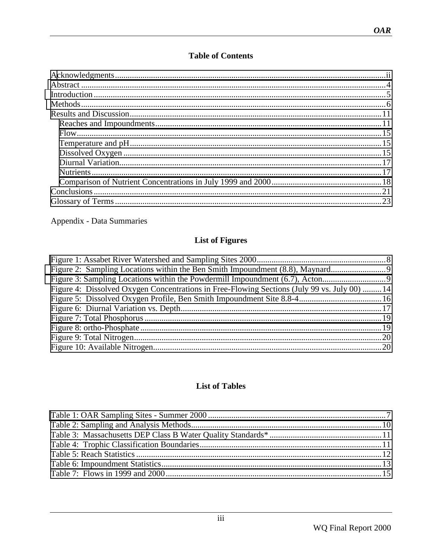## **Table of Contents**

Appendix - Data Summaries

## **List of Figures**

| Figure 2: Sampling Locations within the Ben Smith Impoundment (8.8), Maynard                 |  |
|----------------------------------------------------------------------------------------------|--|
| Figure 3: Sampling Locations within the Powdermill Impoundment (6.7), Acton                  |  |
| Figure 4: Dissolved Oxygen Concentrations in Free-Flowing Sections (July 99 vs. July 00)  14 |  |
|                                                                                              |  |
|                                                                                              |  |
|                                                                                              |  |
|                                                                                              |  |
|                                                                                              |  |
|                                                                                              |  |
|                                                                                              |  |

## **List of Tables**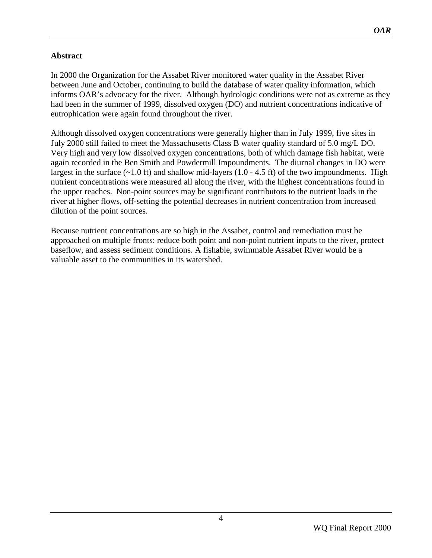## <span id="page-3-0"></span>**Abstract**

In 2000 the Organization for the Assabet River monitored water quality in the Assabet River between June and October, continuing to build the database of water quality information, which informs OAR's advocacy for the river. Although hydrologic conditions were not as extreme as they had been in the summer of 1999, dissolved oxygen (DO) and nutrient concentrations indicative of eutrophication were again found throughout the river.

Although dissolved oxygen concentrations were generally higher than in July 1999, five sites in July 2000 still failed to meet the Massachusetts Class B water quality standard of 5.0 mg/L DO. Very high and very low dissolved oxygen concentrations, both of which damage fish habitat, were again recorded in the Ben Smith and Powdermill Impoundments. The diurnal changes in DO were largest in the surface  $(-1.0 \text{ ft})$  and shallow mid-layers  $(1.0 - 4.5 \text{ ft})$  of the two impoundments. High nutrient concentrations were measured all along the river, with the highest concentrations found in the upper reaches. Non-point sources may be significant contributors to the nutrient loads in the river at higher flows, off-setting the potential decreases in nutrient concentration from increased dilution of the point sources.

Because nutrient concentrations are so high in the Assabet, control and remediation must be approached on multiple fronts: reduce both point and non-point nutrient inputs to the river, protect baseflow, and assess sediment conditions. A fishable, swimmable Assabet River would be a valuable asset to the communities in its watershed.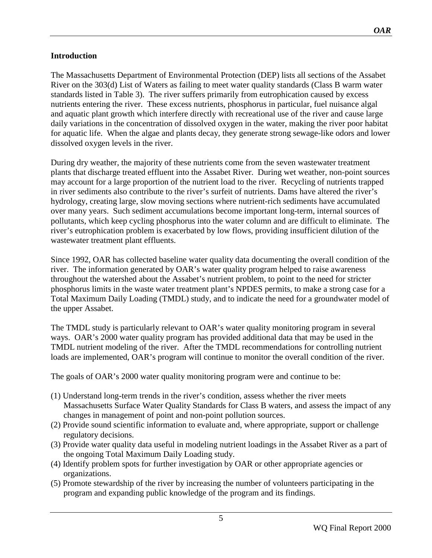## <span id="page-4-0"></span>**Introduction**

The Massachusetts Department of Environmental Protection (DEP) lists all sections of the Assabet River on the 303(d) List of Waters as failing to meet water quality standards (Class B warm water standards listed in Table 3). The river suffers primarily from eutrophication caused by excess nutrients entering the river. These excess nutrients, phosphorus in particular, fuel nuisance algal and aquatic plant growth which interfere directly with recreational use of the river and cause large daily variations in the concentration of dissolved oxygen in the water, making the river poor habitat for aquatic life. When the algae and plants decay, they generate strong sewage-like odors and lower dissolved oxygen levels in the river.

During dry weather, the majority of these nutrients come from the seven wastewater treatment plants that discharge treated effluent into the Assabet River. During wet weather, non-point sources may account for a large proportion of the nutrient load to the river. Recycling of nutrients trapped in river sediments also contribute to the river's surfeit of nutrients. Dams have altered the river's hydrology, creating large, slow moving sections where nutrient-rich sediments have accumulated over many years. Such sediment accumulations become important long-term, internal sources of pollutants, which keep cycling phosphorus into the water column and are difficult to eliminate. The river's eutrophication problem is exacerbated by low flows, providing insufficient dilution of the wastewater treatment plant effluents.

Since 1992, OAR has collected baseline water quality data documenting the overall condition of the river. The information generated by OAR's water quality program helped to raise awareness throughout the watershed about the Assabet's nutrient problem, to point to the need for stricter phosphorus limits in the waste water treatment plant's NPDES permits, to make a strong case for a Total Maximum Daily Loading (TMDL) study, and to indicate the need for a groundwater model of the upper Assabet.

The TMDL study is particularly relevant to OAR's water quality monitoring program in several ways. OAR's 2000 water quality program has provided additional data that may be used in the TMDL nutrient modeling of the river. After the TMDL recommendations for controlling nutrient loads are implemented, OAR's program will continue to monitor the overall condition of the river.

The goals of OAR's 2000 water quality monitoring program were and continue to be:

- (1) Understand long-term trends in the river's condition, assess whether the river meets Massachusetts Surface Water Quality Standards for Class B waters, and assess the impact of any changes in management of point and non-point pollution sources.
- (2) Provide sound scientific information to evaluate and, where appropriate, support or challenge regulatory decisions.
- (3) Provide water quality data useful in modeling nutrient loadings in the Assabet River as a part of the ongoing Total Maximum Daily Loading study.
- (4) Identify problem spots for further investigation by OAR or other appropriate agencies or organizations.
- (5) Promote stewardship of the river by increasing the number of volunteers participating in the program and expanding public knowledge of the program and its findings.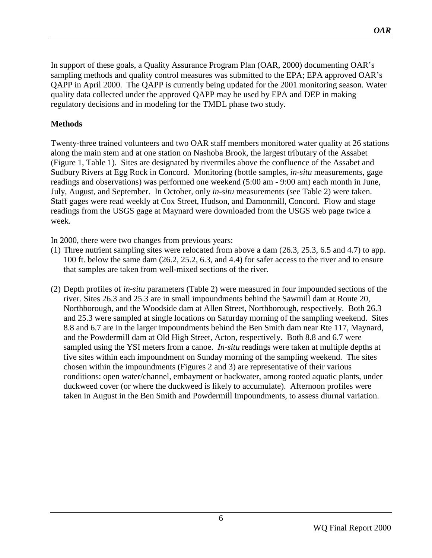<span id="page-5-0"></span>In support of these goals, a Quality Assurance Program Plan (OAR, 2000) documenting OAR's sampling methods and quality control measures was submitted to the EPA; EPA approved OAR's QAPP in April 2000. The QAPP is currently being updated for the 2001 monitoring season. Water quality data collected under the approved QAPP may be used by EPA and DEP in making regulatory decisions and in modeling for the TMDL phase two study.

## **Methods**

Twenty-three trained volunteers and two OAR staff members monitored water quality at 26 stations along the main stem and at one station on Nashoba Brook, the largest tributary of the Assabet (Figure 1, Table 1). Sites are designated by rivermiles above the confluence of the Assabet and Sudbury Rivers at Egg Rock in Concord. Monitoring (bottle samples*, in-situ* measurements, gage readings and observations) was performed one weekend (5:00 am - 9:00 am) each month in June, July, August, and September. In October*,* only *in-situ* measurements (see Table 2) were taken. Staff gages were read weekly at Cox Street, Hudson, and Damonmill, Concord. Flow and stage readings from the USGS gage at Maynard were downloaded from the USGS web page twice a week.

In 2000, there were two changes from previous years:

- (1) Three nutrient sampling sites were relocated from above a dam (26.3, 25.3, 6.5 and 4.7) to app. 100 ft. below the same dam (26.2, 25.2, 6.3, and 4.4) for safer access to the river and to ensure that samples are taken from well-mixed sections of the river.
- (2) Depth profiles of *in-situ* parameters (Table 2) were measured in four impounded sections of the river. Sites 26.3 and 25.3 are in small impoundments behind the Sawmill dam at Route 20, Northborough, and the Woodside dam at Allen Street, Northborough, respectively. Both 26.3 and 25.3 were sampled at single locations on Saturday morning of the sampling weekend. Sites 8.8 and 6.7 are in the larger impoundments behind the Ben Smith dam near Rte 117, Maynard, and the Powdermill dam at Old High Street, Acton, respectively. Both 8.8 and 6.7 were sampled using the YSI meters from a canoe. *In-situ* readings were taken at multiple depths at five sites within each impoundment on Sunday morning of the sampling weekend. The sites chosen within the impoundments (Figures 2 and 3) are representative of their various conditions: open water/channel, embayment or backwater, among rooted aquatic plants, under duckweed cover (or where the duckweed is likely to accumulate). Afternoon profiles were taken in August in the Ben Smith and Powdermill Impoundments, to assess diurnal variation.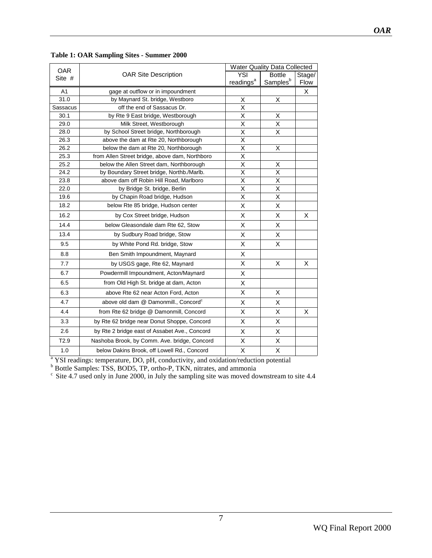| <b>OAR</b>     |                                                  | <b>Water Quality Data Collected</b> |                      |        |  |  |  |
|----------------|--------------------------------------------------|-------------------------------------|----------------------|--------|--|--|--|
| Site #         | <b>OAR Site Description</b>                      | YSI                                 | <b>Bottle</b>        | Stage/ |  |  |  |
|                |                                                  | readings <sup>a</sup>               | Samples <sup>b</sup> | Flow   |  |  |  |
| A <sub>1</sub> | gage at outflow or in impoundment                |                                     |                      | X      |  |  |  |
| 31.0           | by Maynard St. bridge, Westboro                  | Χ                                   | X                    |        |  |  |  |
| Sassacus       | off the end of Sassacus Dr.                      | Χ                                   |                      |        |  |  |  |
| 30.1           | by Rte 9 East bridge, Westborough                | X                                   | X                    |        |  |  |  |
| 29.0           | Milk Street, Westborough                         | Χ                                   | X                    |        |  |  |  |
| 28.0           | by School Street bridge, Northborough            | X                                   | Χ                    |        |  |  |  |
| 26.3           | above the dam at Rte 20, Northborough            | Χ                                   |                      |        |  |  |  |
| 26.2           | below the dam at Rte 20, Northborough            | Χ                                   | X                    |        |  |  |  |
| 25.3           | from Allen Street bridge, above dam, Northboro   | $\overline{\mathsf{x}}$             |                      |        |  |  |  |
| 25.2           | below the Allen Street dam, Northborough         | X                                   | X                    |        |  |  |  |
| 24.2           | by Boundary Street bridge, Northb./Marlb.        | X                                   | X                    |        |  |  |  |
| 23.8           | above dam off Robin Hill Road, Marlboro          | X                                   | X                    |        |  |  |  |
| 22.0           | by Bridge St. bridge, Berlin                     | X                                   | X                    |        |  |  |  |
| 19.6           | by Chapin Road bridge, Hudson                    | Χ                                   | X                    |        |  |  |  |
| 18.2           | below Rte 85 bridge, Hudson center               | X                                   | X                    |        |  |  |  |
| 16.2           | by Cox Street bridge, Hudson                     | Χ                                   | Χ                    | X      |  |  |  |
| 14.4           | below Gleasondale dam Rte 62, Stow               | X                                   | X                    |        |  |  |  |
| 13.4           | by Sudbury Road bridge, Stow                     | X                                   | X                    |        |  |  |  |
| 9.5            | by White Pond Rd. bridge, Stow                   | Χ                                   | Χ                    |        |  |  |  |
| 8.8            | Ben Smith Impoundment, Maynard                   | X                                   |                      |        |  |  |  |
| 7.7            | by USGS gage, Rte 62, Maynard                    | х                                   | X                    | X      |  |  |  |
| 6.7            | Powdermill Impoundment, Acton/Maynard            | X                                   |                      |        |  |  |  |
| 6.5            | from Old High St. bridge at dam, Acton           | Χ                                   |                      |        |  |  |  |
| 6.3            | above Rte 62 near Acton Ford, Acton              | Χ                                   | X                    |        |  |  |  |
| 4.7            | above old dam @ Damonmill., Concord <sup>c</sup> | X                                   | X                    |        |  |  |  |
| 4.4            | from Rte 62 bridge @ Damonmill, Concord          | X                                   | X                    | X      |  |  |  |
| 3.3            | by Rte 62 bridge near Donut Shoppe, Concord      | Χ                                   | Χ                    |        |  |  |  |
| 2.6            | by Rte 2 bridge east of Assabet Ave., Concord    | Χ                                   | X                    |        |  |  |  |
| T2.9           | Nashoba Brook, by Comm. Ave. bridge, Concord     | Χ                                   | X                    |        |  |  |  |
| 1.0            | below Dakins Brook, off Lowell Rd., Concord      | X                                   | X                    |        |  |  |  |

#### <span id="page-6-0"></span>**Table 1: OAR Sampling Sites - Summer 2000**

<sup>a</sup> YSI readings: temperature, DO, pH, conductivity, and oxidation/reduction potential  $\rm^b$  Bottle Samples: TSS, BOD5, TP, ortho-P, TKN, nitrates, and ammonia

 $\frac{c}{c}$  Site 4.7 used only in June 2000, in July the sampling site was moved downstream to site 4.4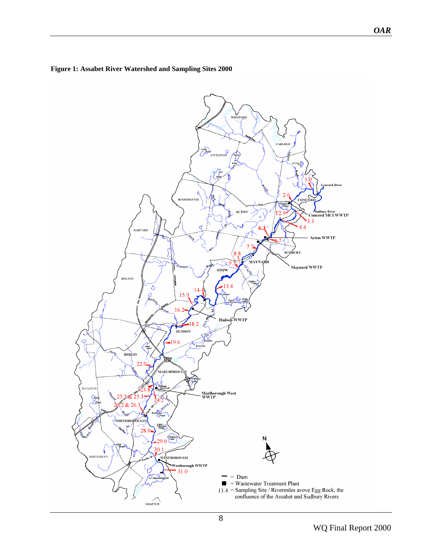

#### <span id="page-7-0"></span>**Figure 1: Assabet River Watershed and Sampling Sites 2000**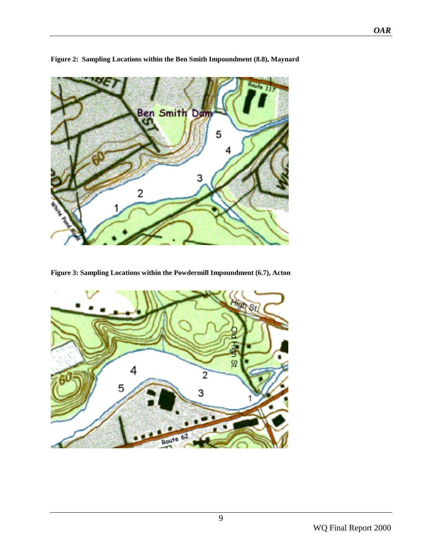<span id="page-8-0"></span>

**Figure 2: Sampling Locations within the Ben Smith Impoundment (8.8), Maynard** 

**Figure 3: Sampling Locations within the Powdermill Impoundment (6.7), Acton** 

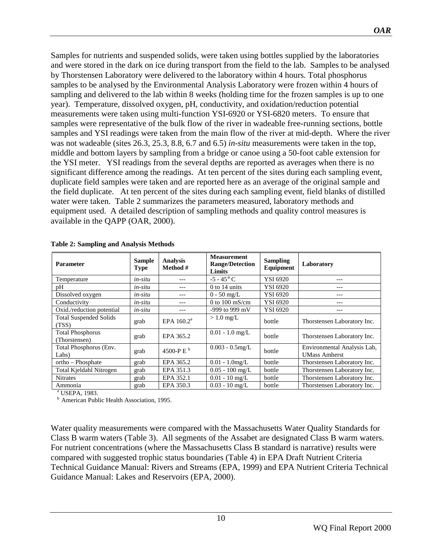<span id="page-9-0"></span>Samples for nutrients and suspended solids, were taken using bottles supplied by the laboratories and were stored in the dark on ice during transport from the field to the lab. Samples to be analysed by Thorstensen Laboratory were delivered to the laboratory within 4 hours. Total phosphorus samples to be analysed by the Environmental Analysis Laboratory were frozen within 4 hours of sampling and delivered to the lab within 8 weeks (holding time for the frozen samples is up to one year). Temperature, dissolved oxygen, pH, conductivity, and oxidation/reduction potential measurements were taken using multi-function YSI-6920 or YSI-6820 meters. To ensure that samples were representative of the bulk flow of the river in wadeable free-running sections, bottle samples and YSI readings were taken from the main flow of the river at mid-depth. Where the river was not wadeable (sites 26.3, 25.3, 8.8, 6.7 and 6.5) *in-situ* measurements were taken in the top, middle and bottom layers by sampling from a bridge or canoe using a 50-foot cable extension for the YSI meter.YSI readings from the several depths are reported as averages when there is no significant difference among the readings. At ten percent of the sites during each sampling event, duplicate field samples were taken and are reported here as an average of the original sample and the field duplicate. At ten percent of the sites during each sampling event, field blanks of distilled water were taken. Table 2 summarizes the parameters measured, laboratory methods and equipment used. A detailed description of sampling methods and quality control measures is available in the QAPP (OAR, 2000).

| <b>Parameter</b>                         | <b>Sample</b><br><b>Type</b> | <b>Analysis</b><br>Method # | <b>Measurement</b><br><b>Range/Detection</b><br>Limits | <b>Sampling</b><br>Equipment | Laboratory                                          |
|------------------------------------------|------------------------------|-----------------------------|--------------------------------------------------------|------------------------------|-----------------------------------------------------|
| Temperature                              | in-situ                      |                             | $-5 - 45^{\circ}$ C                                    | YSI 6920                     | ---                                                 |
| pH                                       | in-situ                      | ---                         | $0$ to 14 units                                        | YSI 6920                     | ---                                                 |
| Dissolved oxygen                         | in-situ                      | $- - -$                     | $0 - 50$ mg/L                                          | YSI 6920                     | ---                                                 |
| Conductivity                             | in-situ                      | ---                         | 0 to $100 \text{ mS/cm}$                               | YSI 6920                     | ---                                                 |
| Oxid./reduction potential                | in-situ                      | ---                         | -999 to 999 mV                                         | YSI 6920                     | ---                                                 |
| <b>Total Suspended Solids</b><br>(TSS)   | grab                         | EPA $160.2a$                | $>1.0$ mg/L                                            | bottle                       | Thorstensen Laboratory Inc.                         |
| <b>Total Phosphorus</b><br>(Thorstensen) | grab                         | EPA 365.2                   | $0.01 - 1.0$ mg/L                                      | bottle                       | Thorstensen Laboratory Inc.                         |
| Total Phosphorus (Env.<br>$Labs$ )       | grab                         | 4500-P E <sup>b</sup>       | $0.003 - 0.5$ mg/L                                     | bottle                       | Environmental Analysis Lab,<br><b>UMass Amherst</b> |
| ortho - Phosphate                        | grab                         | EPA 365.2                   | $0.01 - 1.0$ mg/L                                      | bottle                       | Thorstensen Laboratory Inc.                         |
| Total Kjeldahl Nitrogen                  | grab                         | EPA 351.3                   | $0.05 - 100$ mg/L                                      | bottle                       | Thorstensen Laboratory Inc.                         |
| <b>Nitrates</b>                          | grab                         | EPA 352.1                   | $0.01 - 10$ mg/L                                       | bottle                       | Thorstensen Laboratory Inc.                         |
| Ammonia                                  | grab                         | EPA 350.3                   | $0.03 - 10$ mg/L                                       | bottle                       | Thorstensen Laboratory Inc.                         |

|  | <b>Table 2: Sampling and Analysis Methods</b> |  |  |  |
|--|-----------------------------------------------|--|--|--|
|--|-----------------------------------------------|--|--|--|

a USEPA, 1983.

**b** American Public Health Association, 1995.

Water quality measurements were compared with the Massachusetts Water Quality Standards for Class B warm waters (Table 3). All segments of the Assabet are designated Class B warm waters. For nutrient concentrations (where the Massachusetts Class B standard is narrative) results were compared with suggested trophic status boundaries (Table 4) in EPA Draft Nutrient Criteria Technical Guidance Manual: Rivers and Streams (EPA, 1999) and EPA Nutrient Criteria Technical Guidance Manual: Lakes and Reservoirs (EPA, 2000).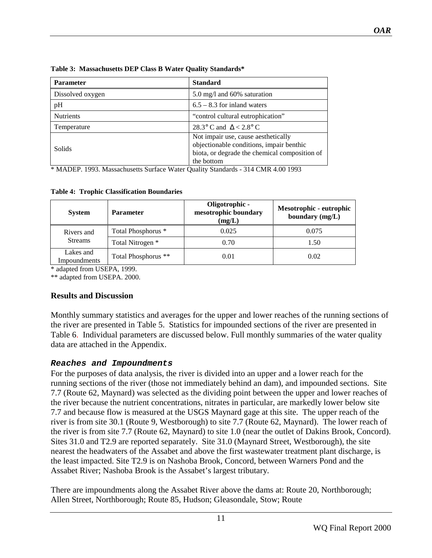<span id="page-10-0"></span>

| <b>Parameter</b> | <b>Standard</b>                                                                                                                                |
|------------------|------------------------------------------------------------------------------------------------------------------------------------------------|
| Dissolved oxygen | 5.0 mg/l and 60% saturation                                                                                                                    |
| pH               | $6.5 - 8.3$ for inland waters                                                                                                                  |
| <b>Nutrients</b> | "control cultural eutrophication"                                                                                                              |
| Temperature      | 28.3° C and $\Delta < 2.8$ ° C                                                                                                                 |
| Solids           | Not impair use, cause aesthetically<br>objectionable conditions, impair benthic<br>biota, or degrade the chemical composition of<br>the bottom |

\* MADEP. 1993. Massachusetts Surface Water Quality Standards - 314 CMR 4.00 1993

**Table 4: Trophic Classification Boundaries** 

| <b>System</b>             | <b>Parameter</b>    | Oligotrophic -<br>mesotrophic boundary<br>(mg/L) | Mesotrophic - eutrophic<br>boundary (mg/L) |
|---------------------------|---------------------|--------------------------------------------------|--------------------------------------------|
| Rivers and                | Total Phosphorus *  | 0.025                                            | 0.075                                      |
| <b>Streams</b>            | Total Nitrogen *    | 0.70                                             | 1.50                                       |
| Lakes and<br>Impoundments | Total Phosphorus ** | 0.01                                             | 0.02                                       |

\* adapted from USEPA, 1999.

\*\* adapted from USEPA. 2000.

## **Results and Discussion**

Monthly summary statistics and averages for the upper and lower reaches of the running sections of the river are presented in Table 5. Statistics for impounded sections of the river are presented in Table 6. Individual parameters are discussed below. Full monthly summaries of the water quality data are attached in the Appendix.

## **Reaches and Impoundments**

For the purposes of data analysis, the river is divided into an upper and a lower reach for the running sections of the river (those not immediately behind an dam), and impounded sections. Site 7.7 (Route 62, Maynard) was selected as the dividing point between the upper and lower reaches of the river because the nutrient concentrations, nitrates in particular, are markedly lower below site 7.7 and because flow is measured at the USGS Maynard gage at this site. The upper reach of the river is from site 30.1 (Route 9, Westborough) to site 7.7 (Route 62, Maynard). The lower reach of the river is from site 7.7 (Route 62, Maynard) to site 1.0 (near the outlet of Dakins Brook, Concord). Sites 31.0 and T2.9 are reported separately. Site 31.0 (Maynard Street, Westborough), the site nearest the headwaters of the Assabet and above the first wastewater treatment plant discharge, is the least impacted. Site T2.9 is on Nashoba Brook, Concord, between Warners Pond and the Assabet River; Nashoba Brook is the Assabet's largest tributary.

There are impoundments along the Assabet River above the dams at: Route 20, Northborough; Allen Street, Northborough; Route 85, Hudson; Gleasondale, Stow; Route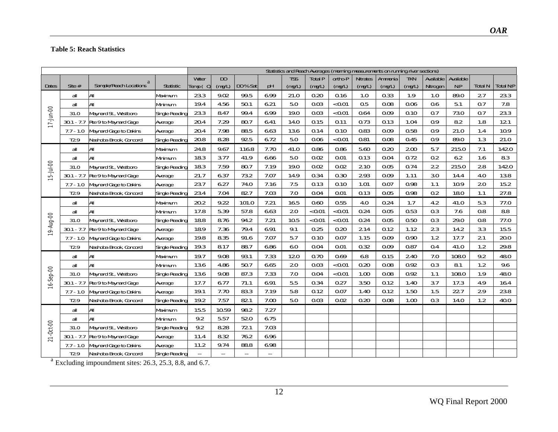#### <span id="page-11-0"></span>**Table 5: Reach Statistics**

|                 |                  |                                                                      |                | Statistics and Reach Averages (morning measurements on running river sections) |                |          |                          |            |                |         |                 |         |            |                  |           |                |           |
|-----------------|------------------|----------------------------------------------------------------------|----------------|--------------------------------------------------------------------------------|----------------|----------|--------------------------|------------|----------------|---------|-----------------|---------|------------|------------------|-----------|----------------|-----------|
|                 |                  |                                                                      |                | Water                                                                          | D <sub>0</sub> |          |                          | <b>TSS</b> | <b>Total P</b> | ortho-P | <b>Nitrates</b> | Ammonia | <b>TKN</b> | Available        | Available |                |           |
| <b>Dates</b>    | Site #           | Sample/Reach Locations <sup>a</sup>                                  | Statistic      | Temp $(C)$                                                                     | (mg/L)         | DO % Sat | pH                       | (mg/L)     | (mg/L)         | (mg/L)  | (mg/L)          | (mg/L)  | (mg/L)     | Nitrogen         | N: P      | <b>Total N</b> | Total N:P |
|                 | all              | All                                                                  | Maximum        | 23.3                                                                           | 9.02           | 99.5     | 6.99                     | 21.0       | 0.20           | 0.16    | 1.0             | 0.33    | 1.9        | 1.0              | 89.0      | 2.7            | 23.3      |
|                 | all              | All                                                                  | Minimum        | 19.4                                                                           | 4.56           | 50.1     | 6.21                     | 5.0        | 0.03           | < 0.01  | 0.5             | 0.08    | 0.06       | 0.6              | 5.1       | 0.7            | 7.8       |
|                 | 31.0             | Maynard St., Westboro                                                | Single Reading | 23.3                                                                           | 8.47           | 99.4     | 6.99                     | 19.0       | 0.03           | < 0.01  | 0.64            | 0.09    | 0.10       | 0.7              | 73.0      | 0.7            | 23.3      |
| 17-Jun-00       | $30.1 - 7.7$     | Rte 9 to Maynard Gage                                                | Average        | 20.4                                                                           | 7.29           | 80.7     | 6.41                     | 14.0       | 0.15           | 0.11    | 0.73            | 0.13    | 1.04       | $\overline{0.9}$ | 8.2       | 1.8            | 12.1      |
|                 | $7.7 - 1.0$      | Maynard Gage to Dakins                                               | Average        | 20.4                                                                           | 7.98           | 88.5     | 6.63                     | 13.6       | 0.14           | 0.10    | 0.83            | 0.09    | 0.58       | 0.9              | 21.0      | 1.4            | 10.9      |
|                 | T <sub>2.9</sub> | Nashoba Brook, Concord                                               | Single Reading | 20.8                                                                           | 8.28           | 92.5     | 6.72                     | 5.0        | 0.06           | < 0.01  | 0.81            | 0.08    | 0.45       | 0.9              | 89.0      | 1.3            | 21.0      |
|                 | all              | All                                                                  | Maximum        | 24.8                                                                           | 9.67           | 116.8    | 7.70                     | 41.0       | 0.86           | 0.86    | 5.60            | 0.20    | 2.00       | 5.7              | 215.0     | 7.1            | 142.0     |
|                 | all              | All                                                                  | Minimum        | 18.3                                                                           | 3.77           | 41.9     | 6.66                     | 5.0        | 0.02           | 0.01    | 0.13            | 0.04    | 0.72       | 0.2              | 6.2       | 1.6            | 8.3       |
| $15 - 1ul - 00$ | 31.0             | Maynard St., Westboro                                                | Single Reading | 18.3                                                                           | 7.59           | 80.7     | 7.19                     | 19.0       | 0.02           | 0.02    | 2.10            | 0.05    | 0.74       | 2.2              | 215.0     | 2.8            | 142.0     |
|                 | $30.1 - 7.7$     | Rte 9 to Maynard Gage                                                | Average        | 21.7                                                                           | 6.37           | 73.2     | 7.07                     | 14.9       | 0.34           | 0.30    | 2.93            | 0.09    | 1.11       | 3.0              | 14.4      | 4.0            | 13.8      |
|                 | $7.7 - 1.0$      | Maynard Gage to Dakins                                               | Average        | 23.7                                                                           | 6.27           | 74.0     | 7.16                     | 7.5        | 0.13           | 0.10    | 1.01            | 0.07    | 0.98       | 1.1              | 10.9      | 2.0            | 15.2      |
|                 | T <sub>2.9</sub> | Nashoba Brook, Concord                                               | Single Reading | 23.4                                                                           | 7.04           | 82.7     | 7.03                     | 7.0        | 0.04           | 0.01    | 0.13            | 0.05    | 0.98       | 0.2              | 18.0      | 1.1            | 27.8      |
|                 | all              | All                                                                  | Maximum        | 20.2                                                                           | 9.22           | 101.0    | 7.21                     | 16.5       | 0.60           | 0.55    | 4.0             | 0.24    | 1.7        | 4.2              | 41.0      | 5.3            | 77.0      |
|                 | all              | All                                                                  | Minimum        | 17.8                                                                           | 5.39           | 57.8     | 6.63                     | 2.0        | < 0.01         | < 0.01  | 0.24            | 0.05    | 0.53       | 0.3              | 7.6       | 0.8            | 8.8       |
|                 | 31.0             | Maynard St., Westboro                                                | Single Reading | 18.8                                                                           | 8.76           | 94.2     | 7.21                     | 10.5       | <0.01          | < 0.01  | 0.24            | 0.05    | 0.50       | 0.3              | 29.0      | 0.8            | 77.0      |
| 19-Aug-00       | $30.1 - 7.7$     | Rte 9 to Maynard Gage                                                | Average        | 18.9                                                                           | 7.36           | 79.4     | 6.91                     | 9.1        | 0.25           | 0.20    | 2.14            | 0.12    | 1.12       | 2.3              | 14.2      | 3.3            | 15.5      |
|                 | $7.7 - 1.0$      | Maynard Gage to Dakins                                               | Average        | 19.8                                                                           | 8.35           | 91.6     | 7.07                     | 5.7        | 0.10           | 0.07    | 1.15            | 0.09    | 0.90       | 1.2              | 17.7      | 2.1            | 20.0      |
|                 | T <sub>2.9</sub> | Nashoba Brook, Concord                                               | Single Reading | 19.3                                                                           | 8.17           | 88.7     | 6.86                     | 6.0        | 0.04           | 0.01    | 0.32            | 0.09    | 0.87       | 0.4              | 41.0      | 1.2            | 29.8      |
|                 | all              | All                                                                  | Maximum        | 19.7                                                                           | 9.08           | 93.1     | 7.33                     | 12.0       | 0.70           | 0.69    | 6.8             | 0.15    | 2.40       | 7.0              | 108.0     | 9.2            | 48.0      |
|                 | all              | All                                                                  | Minimum        | 13.6                                                                           | 4.86           | 50.7     | 6.65                     | 2.0        | 0.03           | < 0.01  | 0.20            | 0.08    | 0.92       | 0.3              | 8.1       | 1.2            | 9.6       |
| 16-Sep-00       | 31.0             | Maynard St., Westboro                                                | Single Reading | 13.6                                                                           | 9.08           | 87.3     | 7.33                     | 7.0        | 0.04           | < 0.01  | 1.00            | 0.08    | 0.92       | 1.1              | 108.0     | 1.9            | 48.0      |
|                 | $30.1 - 7.7$     | Rte 9 to Maynard Gage                                                | Average        | 17.7                                                                           | 6.77           | 71.1     | 6.91                     | 5.5        | 0.34           | 0.27    | 3.50            | 0.12    | 1.40       | $\overline{3.7}$ | 17.3      | 4.9            | 16.4      |
|                 | $7.7 - 1.0$      | Maynard Gage to Dakins                                               | Average        | 19.1                                                                           | 7.70           | 83.3     | 7.19                     | 5.8        | 0.12           | 0.07    | 1.40            | 0.12    | 1.50       | 1.5              | 22.7      | 2.9            | 23.8      |
|                 | T <sub>2.9</sub> | Nashoba Brook, Concord                                               | Single Reading | 19.2                                                                           | 7.57           | 82.1     | 7.00                     | 5.0        | 0.03           | 0.02    | 0.20            | 0.08    | 1.00       | 0.3              | 14.0      | 1.2            | 40.0      |
|                 | all              | All                                                                  | Maximum        | 15.5                                                                           | 10.59          | 98.2     | 7.27                     |            |                |         |                 |         |            |                  |           |                |           |
|                 | all              | All                                                                  | Minimum        | 9.2                                                                            | 5.57           | 52.0     | 6.75                     |            |                |         |                 |         |            |                  |           |                |           |
| $21-0ct-00$     | 31.0             | Maynard St., Westboro                                                | Single Reading | 9.2                                                                            | 8.28           | 72.1     | 7.03                     |            |                |         |                 |         |            |                  |           |                |           |
|                 | $30.1 - 7.7$     | Rte 9 to Maynard Gage                                                | Average        | 11.4                                                                           | 8.32           | 76.2     | 6.96                     |            |                |         |                 |         |            |                  |           |                |           |
|                 | $7.7 - 1.0$      | Maynard Gage to Dakins                                               | Average        | 11.2                                                                           | 9.74           | 88.8     | 6.98                     |            |                |         |                 |         |            |                  |           |                |           |
|                 | T <sub>2.9</sub> | Nashoba Brook, Concord                                               | Single Reading | $\overline{\phantom{a}}$                                                       | $\mathbf{L}$   | --       | $\overline{\phantom{a}}$ |            |                |         |                 |         |            |                  |           |                |           |
|                 |                  | $\frac{a}{a}$ Excluding impoundment sites: 26.3, 25.3, 8.8, and 6.7. |                |                                                                                |                |          |                          |            |                |         |                 |         |            |                  |           |                |           |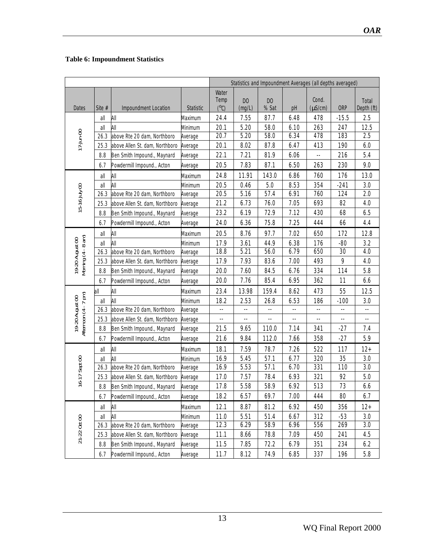### <span id="page-12-0"></span> **Table 6: Impoundment Statistics**

|                                       |          |                                |                  | Statistics and Impoundment Averages (all depths averaged) |                          |                          |      |                            |            |                          |
|---------------------------------------|----------|--------------------------------|------------------|-----------------------------------------------------------|--------------------------|--------------------------|------|----------------------------|------------|--------------------------|
| Dates                                 | Site $#$ | Impoundment Location           | <b>Statistic</b> | Water<br>Temp<br>$(^{\circ}C)$                            | D <sub>0</sub><br>(mg/L) | D <sub>0</sub><br>% Sat  | pH   | Cond.<br>$(\mu S/cm)$      | <b>ORP</b> | Total<br>Depth (ft)      |
|                                       | all      | All                            | Maximum          | 24.4                                                      | 7.55                     | 87.7                     | 6.48 | 478                        | $-15.5$    | 2.5                      |
|                                       | all      | All                            | Minimum          | 20.1                                                      | 5.20                     | 58.0                     | 6.10 | 263                        | 247        | 12.5                     |
|                                       | 26.3     | above Rte 20 dam, Northboro    | Average          | 20.7                                                      | 5.20                     | 58.0                     | 6.34 | 478                        | 183        | 2.5                      |
| $17$ -Jun-00                          | 25.3     | above Allen St. dam, Northboro | Average          | 20.1                                                      | 8.02                     | 87.8                     | 6.47 | 413                        | 190        | 6.0                      |
|                                       | 8.8      | Ben Smith Impound., Maynard    | Average          | 22.1                                                      | 7.21                     | 81.9                     | 6.06 | $\overline{\phantom{a}}$   | 216        | 5.4                      |
|                                       | 6.7      | Powdermill Impound., Acton     | Average          | 20.5                                                      | 7.83                     | 87.1                     | 6.50 | 263                        | 230        | 9.0                      |
|                                       | all      | All                            | Maximum          | 24.8                                                      | 11.91                    | 143.0                    | 6.86 | 760                        | 176        | 13.0                     |
|                                       | all      | All                            | Minimum          | 20.5                                                      | 0.46                     | 5.0                      | 8.53 | 354                        | $-241$     | 3.0                      |
| 15-16 July 00                         | 26.3     | above Rte 20 dam, Northboro    | Average          | 20.5                                                      | 5.16                     | 57.4                     | 6.91 | 760                        | 124        | 2.0                      |
|                                       | 25.3     | above Allen St. dam, Northboro | Average          | 21.2                                                      | 6.73                     | 76.0                     | 7.05 | 693                        | 82         | 4.0                      |
|                                       | 8.8      | Ben Smith Impound., Maynard    | Average          | 23.2                                                      | 6.19                     | 72.9                     | 7.12 | 430                        | 68         | 6.5                      |
|                                       | 6.7      | Powdermill Impound., Acton     | Average          | 24.0                                                      | 6.36                     | 75.8                     | 7.25 | 444                        | 66         | 4.4                      |
|                                       | all      | All                            | Maximum          | 20.5                                                      | 8.76                     | 97.7                     | 7.02 | 650                        | 172        | 12.8                     |
| 19-20 August 00<br>Morning (4 - 8 am) | all      | All                            | Minimum          | 17.9                                                      | 3.61                     | 44.9                     | 6.38 | 176                        | $-80$      | 3.2                      |
|                                       | 26.3     | above Rte 20 dam, Northboro    | Average          | 18.8                                                      | 5.21                     | 56.0                     | 6.79 | 650                        | 30         | 4.0                      |
|                                       | 25.3     | above Allen St. dam, Northboro | Average          | 17.9                                                      | 7.93                     | 83.6                     | 7.00 | 493                        | 9          | 4.0                      |
|                                       | 8.8      | Ben Smith Impound., Maynard    | Average          | 20.0                                                      | 7.60                     | 84.5                     | 6.76 | 334                        | 114        | 5.8                      |
|                                       | 6.7      | Powdermill Impound., Acton     | Average          | 20.0                                                      | 7.76                     | 85.4                     | 6.95 | 362                        | 11         | 6.6                      |
|                                       | all      | All                            | Maximum          | 23.4                                                      | 13.98                    | 159.4                    | 8.62 | 473                        | 55         | 12.5                     |
| 19-20 August 00                       | all      | All                            | Minimum          | 18.2                                                      | 2.53                     | 26.8                     | 6.53 | 186                        | $-100$     | 3.0                      |
|                                       | 26.3     | above Rte 20 dam, Northboro    | Average          | --                                                        | --                       | --                       | --   | $\overline{\phantom{a}}$ . | $-$        | $\overline{\phantom{a}}$ |
|                                       | 25.3     | above Allen St. dam, Northboro | Average          | --                                                        | --                       | $\overline{\phantom{a}}$ | --   | --                         | ٠.         | --                       |
| Afternoon (4 - 7 pm)                  | 8.8      | Ben Smith Impound., Maynard    | Average          | 21.5                                                      | 9.65                     | 110.0                    | 7.14 | 341                        | $-27$      | 7.4                      |
|                                       | 6.7      | Powdermill Impound., Acton     | Average          | 21.6                                                      | 9.84                     | 112.0                    | 7.66 | 358                        | $-27$      | 5.9                      |
|                                       | all      | All                            | Maximum          | 18.1                                                      | 7.59                     | 78.7                     | 7.26 | 522                        | 117        | $12 +$                   |
|                                       | all      | All                            | Minimum          | 16.9                                                      | 5.45                     | 57.1                     | 6.77 | 320                        | 35         | 3.0                      |
| 16-17 Sept 00                         | 26.3     | above Rte 20 dam, Northboro    | Average          | 16.9                                                      | 5.53                     | 57.1                     | 6.70 | 331                        | 110        | 3.0                      |
|                                       | 25.3     | above Allen St. dam, Northboro | Average          | 17.0                                                      | 7.57                     | 78.4                     | 6.93 | 321                        | 92         | 5.0                      |
|                                       | 8.8      | Ben Smith Impound., Maynard    | Average          | 17.8                                                      | 5.58                     | 58.9                     | 6.92 | 513                        | 73         | 6.6                      |
|                                       | 6.7      | Powdermill Impound., Acton     | Average          | 18.2                                                      | 6.57                     | 69.7                     | 7.00 | 444                        | 80         | 6.7                      |
|                                       | all      | All                            | Maximum          | 12.1                                                      | 8.87                     | 81.2                     | 6.92 | 450                        | 356        | $12 +$                   |
|                                       | all      | All                            | Minimum          | 11.0                                                      | 5.51                     | 51.4                     | 6.67 | 312                        | $-53$      | 3.0                      |
| 21-22 Oct 00                          | 26.3     | above Rte 20 dam, Northboro    | Average          | 12.3                                                      | 6.29                     | 58.9                     | 6.96 | 556                        | 269        | 3.0                      |
|                                       | 25.3     | above Allen St. dam, Northboro | Average          | 11.1                                                      | 8.66                     | 78.8                     | 7.09 | 450                        | 241        | 4.5                      |
|                                       | 8.8      | Ben Smith Impound., Maynard    | Average          | 11.5                                                      | 7.85                     | 72.2                     | 6.79 | 351                        | 234        | 6.2                      |
|                                       | 6.7      | Powdermill Impound., Acton     | Average          | 11.7                                                      | 8.12                     | 74.9                     | 6.85 | 337                        | 196        | 5.8                      |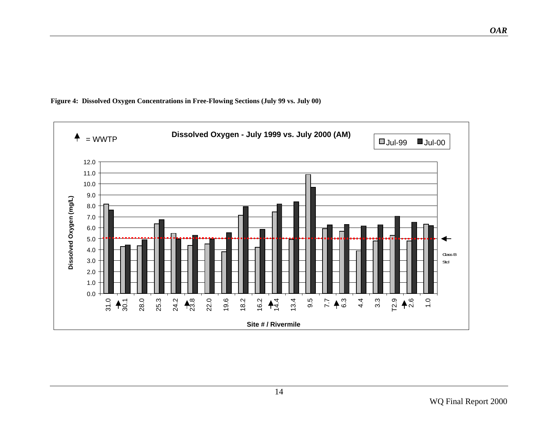

<span id="page-13-0"></span>**Figure 4: Dissolved Oxygen Concentrations in Free-Flowing Sections (July 99 vs. July 00)**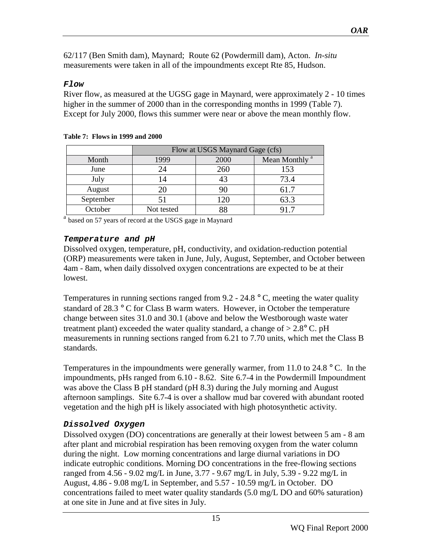<span id="page-14-0"></span>62/117 (Ben Smith dam), Maynard; Route 62 (Powdermill dam), Acton. *In-situ* measurements were taken in all of the impoundments except Rte 85, Hudson.

#### **Flow**

River flow, as measured at the UGSG gage in Maynard, were approximately 2 - 10 times higher in the summer of 2000 than in the corresponding months in 1999 (Table 7). Except for July 2000, flows this summer were near or above the mean monthly flow.

|           | Flow at USGS Maynard Gage (cfs)           |      |      |  |  |  |  |  |  |
|-----------|-------------------------------------------|------|------|--|--|--|--|--|--|
| Month     | Mean Monthly <sup>a</sup><br>1999<br>2000 |      |      |  |  |  |  |  |  |
| June      | 24                                        | 260  | 153  |  |  |  |  |  |  |
| July      | 14                                        | 43   | 73.4 |  |  |  |  |  |  |
| August    | 20                                        | 90   | 61.7 |  |  |  |  |  |  |
| September |                                           | l 20 | 63.3 |  |  |  |  |  |  |
| October   | Not tested                                | 88   |      |  |  |  |  |  |  |

#### **Table 7: Flows in 1999 and 2000**

 $^{\text{a}}$  based on 57 years of record at the USGS gage in Maynard

#### **Temperature and pH**

Dissolved oxygen, temperature, pH, conductivity, and oxidation-reduction potential (ORP) measurements were taken in June, July, August, September, and October between 4am - 8am, when daily dissolved oxygen concentrations are expected to be at their lowest.

Temperatures in running sections ranged from  $9.2 - 24.8$  ° C, meeting the water quality standard of 28.3 ° C for Class B warm waters. However, in October the temperature change between sites 31.0 and 30.1 (above and below the Westborough waste water treatment plant) exceeded the water quality standard, a change of  $> 2.8^{\circ}$  C. pH measurements in running sections ranged from 6.21 to 7.70 units, which met the Class B standards.

Temperatures in the impoundments were generally warmer, from 11.0 to 24.8  $\degree$  C. In the impoundments, pHs ranged from 6.10 - 8.62. Site 6.7-4 in the Powdermill Impoundment was above the Class B pH standard (pH 8.3) during the July morning and August afternoon samplings. Site 6.7-4 is over a shallow mud bar covered with abundant rooted vegetation and the high pH is likely associated with high photosynthetic activity.

## **Dissolved Oxygen**

Dissolved oxygen (DO) concentrations are generally at their lowest between 5 am - 8 am after plant and microbial respiration has been removing oxygen from the water column during the night. Low morning concentrations and large diurnal variations in DO indicate eutrophic conditions. Morning DO concentrations in the free-flowing sections ranged from 4.56 - 9.02 mg/L in June, 3.77 - 9.67 mg/L in July, 5.39 - 9.22 mg/L in August, 4.86 - 9.08 mg/L in September, and 5.57 - 10.59 mg/L in October. DO concentrations failed to meet water quality standards (5.0 mg/L DO and 60% saturation) at one site in June and at five sites in July.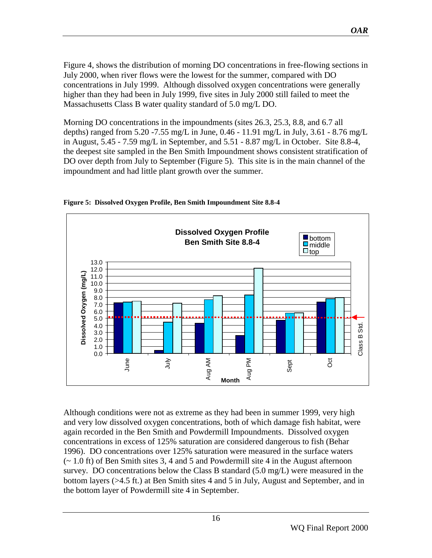<span id="page-15-0"></span>Figure 4, shows the distribution of morning DO concentrations in free-flowing sections in July 2000, when river flows were the lowest for the summer, compared with DO concentrations in July 1999. Although dissolved oxygen concentrations were generally higher than they had been in July 1999, five sites in July 2000 still failed to meet the Massachusetts Class B water quality standard of 5.0 mg/L DO.

Morning DO concentrations in the impoundments (sites 26.3, 25.3, 8.8, and 6.7 all depths) ranged from 5.20 -7.55 mg/L in June, 0.46 - 11.91 mg/L in July, 3.61 - 8.76 mg/L in August, 5.45 - 7.59 mg/L in September, and 5.51 - 8.87 mg/L in October. Site 8.8-4, the deepest site sampled in the Ben Smith Impoundment shows consistent stratification of DO over depth from July to September (Figure 5). This site is in the main channel of the impoundment and had little plant growth over the summer.



**Figure 5: Dissolved Oxygen Profile, Ben Smith Impoundment Site 8.8-4** 

Although conditions were not as extreme as they had been in summer 1999, very high and very low dissolved oxygen concentrations, both of which damage fish habitat, were again recorded in the Ben Smith and Powdermill Impoundments. Dissolved oxygen concentrations in excess of 125% saturation are considered dangerous to fish (Behar 1996). DO concentrations over 125% saturation were measured in the surface waters (~ 1.0 ft) of Ben Smith sites 3, 4 and 5 and Powdermill site 4 in the August afternoon survey. DO concentrations below the Class B standard  $(5.0 \text{ mg/L})$  were measured in the bottom layers (>4.5 ft.) at Ben Smith sites 4 and 5 in July, August and September, and in the bottom layer of Powdermill site 4 in September.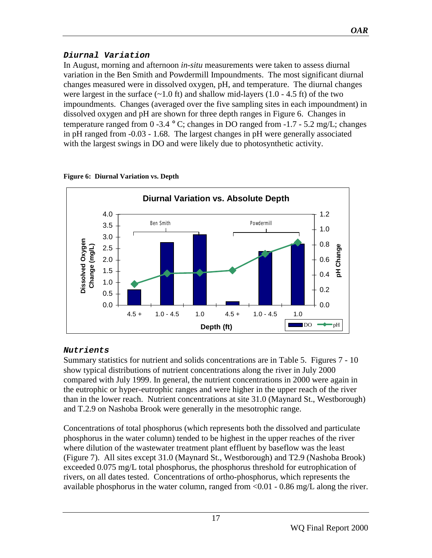## <span id="page-16-0"></span>**Diurnal Variation**

In August, morning and afternoon *in-situ* measurements were taken to assess diurnal variation in the Ben Smith and Powdermill Impoundments. The most significant diurnal changes measured were in dissolved oxygen, pH, and temperature. The diurnal changes were largest in the surface  $(\sim 1.0 \text{ ft})$  and shallow mid-layers (1.0 - 4.5 ft) of the two impoundments. Changes (averaged over the five sampling sites in each impoundment) in dissolved oxygen and pH are shown for three depth ranges in Figure 6. Changes in temperature ranged from 0-3.4  $\degree$  C; changes in DO ranged from -1.7 - 5.2 mg/L; changes in pH ranged from -0.03 - 1.68. The largest changes in pH were generally associated with the largest swings in DO and were likely due to photosynthetic activity.



#### **Figure 6: Diurnal Variation vs. Depth**

# **Nutrients**

Summary statistics for nutrient and solids concentrations are in Table 5. Figures 7 - 10 show typical distributions of nutrient concentrations along the river in July 2000 compared with July 1999. In general, the nutrient concentrations in 2000 were again in the eutrophic or hyper-eutrophic ranges and were higher in the upper reach of the river than in the lower reach. Nutrient concentrations at site 31.0 (Maynard St., Westborough) and T.2.9 on Nashoba Brook were generally in the mesotrophic range.

Concentrations of total phosphorus (which represents both the dissolved and particulate phosphorus in the water column) tended to be highest in the upper reaches of the river where dilution of the wastewater treatment plant effluent by baseflow was the least (Figure 7). All sites except 31.0 (Maynard St., Westborough) and T2.9 (Nashoba Brook) exceeded 0.075 mg/L total phosphorus, the phosphorus threshold for eutrophication of rivers, on all dates tested. Concentrations of ortho-phosphorus, which represents the available phosphorus in the water column, ranged from <0.01 - 0.86 mg/L along the river.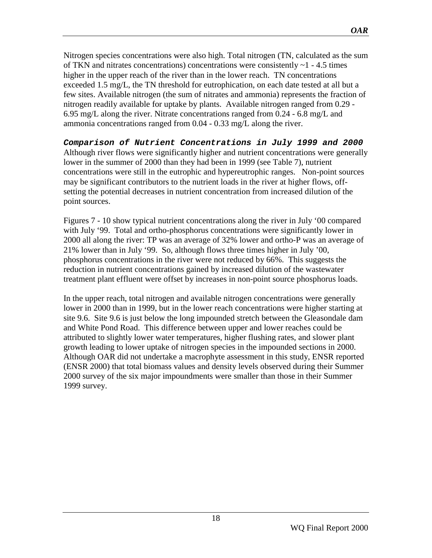<span id="page-17-0"></span>Nitrogen species concentrations were also high. Total nitrogen (TN, calculated as the sum of TKN and nitrates concentrations) concentrations were consistently  $\sim$  1 - 4.5 times higher in the upper reach of the river than in the lower reach. TN concentrations exceeded 1.5 mg/L, the TN threshold for eutrophication, on each date tested at all but a few sites. Available nitrogen (the sum of nitrates and ammonia) represents the fraction of nitrogen readily available for uptake by plants. Available nitrogen ranged from 0.29 - 6.95 mg/L along the river. Nitrate concentrations ranged from 0.24 - 6.8 mg/L and ammonia concentrations ranged from 0.04 - 0.33 mg/L along the river.

**Comparison of Nutrient Concentrations in July 1999 and 2000**  Although river flows were significantly higher and nutrient concentrations were generally lower in the summer of 2000 than they had been in 1999 (see Table 7), nutrient concentrations were still in the eutrophic and hypereutrophic ranges. Non-point sources may be significant contributors to the nutrient loads in the river at higher flows, offsetting the potential decreases in nutrient concentration from increased dilution of the point sources.

Figures 7 - 10 show typical nutrient concentrations along the river in July '00 compared with July '99. Total and ortho-phosphorus concentrations were significantly lower in 2000 all along the river: TP was an average of 32% lower and ortho-P was an average of 21% lower than in July '99. So, although flows three times higher in July '00, phosphorus concentrations in the river were not reduced by 66%. This suggests the reduction in nutrient concentrations gained by increased dilution of the wastewater treatment plant effluent were offset by increases in non-point source phosphorus loads.

In the upper reach, total nitrogen and available nitrogen concentrations were generally lower in 2000 than in 1999, but in the lower reach concentrations were higher starting at site 9.6. Site 9.6 is just below the long impounded stretch between the Gleasondale dam and White Pond Road. This difference between upper and lower reaches could be attributed to slightly lower water temperatures, higher flushing rates, and slower plant growth leading to lower uptake of nitrogen species in the impounded sections in 2000. Although OAR did not undertake a macrophyte assessment in this study, ENSR reported (ENSR 2000) that total biomass values and density levels observed during their Summer 2000 survey of the six major impoundments were smaller than those in their Summer 1999 survey.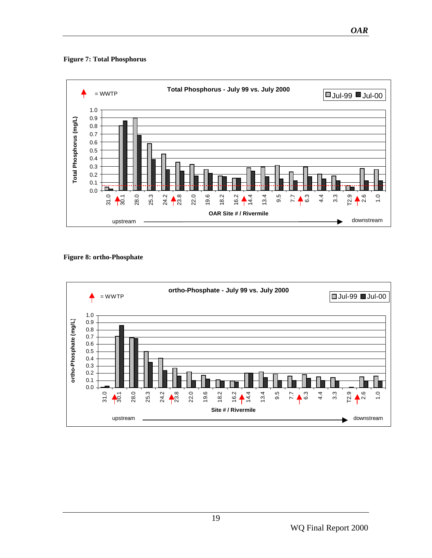<span id="page-18-0"></span>**Figure 7: Total Phosphorus**



#### **Figure 8: ortho-Phosphate**

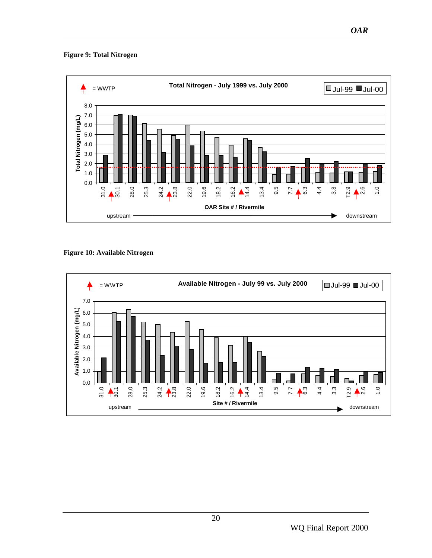#### <span id="page-19-0"></span>**Figure 9: Total Nitrogen**



**Figure 10: Available Nitrogen** 

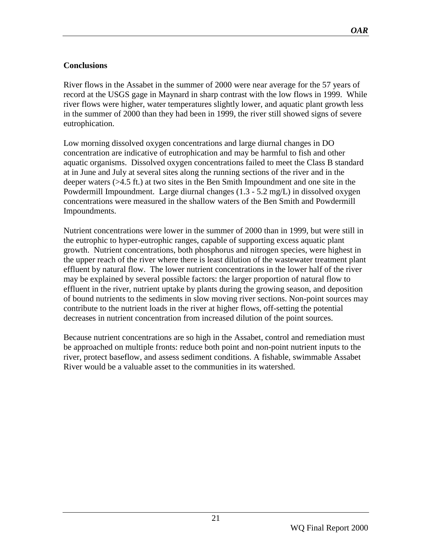## <span id="page-20-0"></span>**Conclusions**

River flows in the Assabet in the summer of 2000 were near average for the 57 years of record at the USGS gage in Maynard in sharp contrast with the low flows in 1999. While river flows were higher, water temperatures slightly lower, and aquatic plant growth less in the summer of 2000 than they had been in 1999, the river still showed signs of severe eutrophication.

Low morning dissolved oxygen concentrations and large diurnal changes in DO concentration are indicative of eutrophication and may be harmful to fish and other aquatic organisms. Dissolved oxygen concentrations failed to meet the Class B standard at in June and July at several sites along the running sections of the river and in the deeper waters (>4.5 ft.) at two sites in the Ben Smith Impoundment and one site in the Powdermill Impoundment. Large diurnal changes (1.3 - 5.2 mg/L) in dissolved oxygen concentrations were measured in the shallow waters of the Ben Smith and Powdermill Impoundments.

Nutrient concentrations were lower in the summer of 2000 than in 1999, but were still in the eutrophic to hyper-eutrophic ranges, capable of supporting excess aquatic plant growth. Nutrient concentrations, both phosphorus and nitrogen species, were highest in the upper reach of the river where there is least dilution of the wastewater treatment plant effluent by natural flow. The lower nutrient concentrations in the lower half of the river may be explained by several possible factors: the larger proportion of natural flow to effluent in the river, nutrient uptake by plants during the growing season, and deposition of bound nutrients to the sediments in slow moving river sections. Non-point sources may contribute to the nutrient loads in the river at higher flows, off-setting the potential decreases in nutrient concentration from increased dilution of the point sources.

Because nutrient concentrations are so high in the Assabet, control and remediation must be approached on multiple fronts: reduce both point and non-point nutrient inputs to the river, protect baseflow, and assess sediment conditions. A fishable, swimmable Assabet River would be a valuable asset to the communities in its watershed.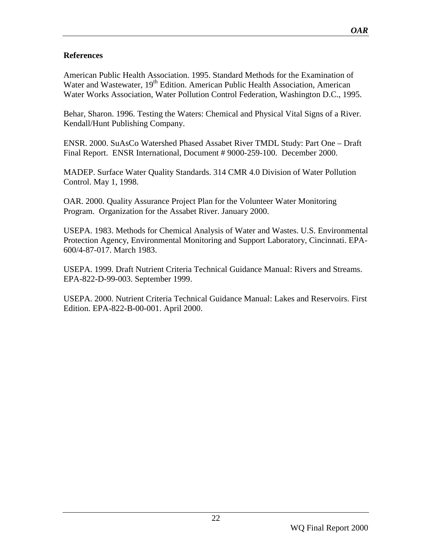## **References**

American Public Health Association. 1995. Standard Methods for the Examination of Water and Wastewater, 19<sup>th</sup> Edition. American Public Health Association, American Water Works Association, Water Pollution Control Federation, Washington D.C., 1995.

Behar, Sharon. 1996. Testing the Waters: Chemical and Physical Vital Signs of a River. Kendall/Hunt Publishing Company.

ENSR. 2000. SuAsCo Watershed Phased Assabet River TMDL Study: Part One – Draft Final Report. ENSR International, Document # 9000-259-100. December 2000.

MADEP. Surface Water Quality Standards. 314 CMR 4.0 Division of Water Pollution Control. May 1, 1998.

OAR. 2000. Quality Assurance Project Plan for the Volunteer Water Monitoring Program. Organization for the Assabet River. January 2000.

USEPA. 1983. Methods for Chemical Analysis of Water and Wastes. U.S. Environmental Protection Agency, Environmental Monitoring and Support Laboratory, Cincinnati. EPA-600/4-87-017. March 1983.

USEPA. 1999. Draft Nutrient Criteria Technical Guidance Manual: Rivers and Streams. EPA-822-D-99-003. September 1999.

USEPA. 2000. Nutrient Criteria Technical Guidance Manual: Lakes and Reservoirs. First Edition. EPA-822-B-00-001. April 2000.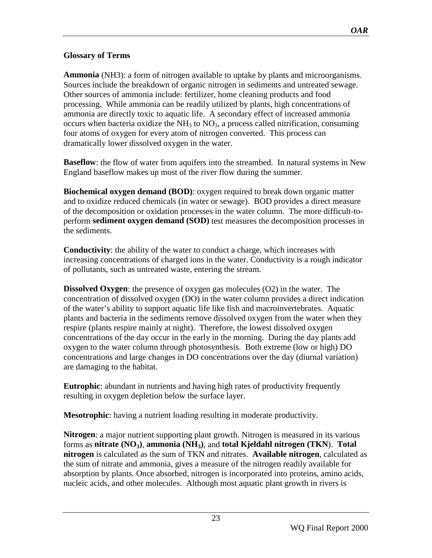## <span id="page-22-0"></span>**Glossary of Terms**

**Ammonia** (NH3): a form of nitrogen available to uptake by plants and microorganisms. Sources include the breakdown of organic nitrogen in sediments and untreated sewage. Other sources of ammonia include: fertilizer, home cleaning products and food processing. While ammonia can be readily utilized by plants, high concentrations of ammonia are directly toxic to aquatic life. A secondary effect of increased ammonia occurs when bacteria oxidize the  $NH<sub>3</sub>$  to  $NO<sub>3</sub>$ , a process called nitrification, consuming four atoms of oxygen for every atom of nitrogen converted. This process can dramatically lower dissolved oxygen in the water.

**Baseflow**: the flow of water from aquifers into the streambed. In natural systems in New England baseflow makes up most of the river flow during the summer.

**Biochemical oxygen demand (BOD)**: oxygen required to break down organic matter and to oxidize reduced chemicals (in water or sewage). BOD provides a direct measure of the decomposition or oxidation processes in the water column. The more difficult-toperform **sediment oxygen demand (SOD)** test measures the decomposition processes in the sediments.

**Conductivity**: the ability of the water to conduct a charge, which increases with increasing concentrations of charged ions in the water. Conductivity is a rough indicator of pollutants, such as untreated waste, entering the stream.

**Dissolved Oxygen**: the presence of oxygen gas molecules (O2) in the water. The concentration of dissolved oxygen (DO) in the water column provides a direct indication of the water's ability to support aquatic life like fish and macroinvertebrates. Aquatic plants and bacteria in the sediments remove dissolved oxygen from the water when they respire (plants respire mainly at night). Therefore, the lowest dissolved oxygen concentrations of the day occur in the early in the morning. During the day plants add oxygen to the water column through photosynthesis. Both extreme (low or high) DO concentrations and large changes in DO concentrations over the day (diurnal variation) are damaging to the habitat.

**Eutrophic**: abundant in nutrients and having high rates of productivity frequently resulting in oxygen depletion below the surface layer.

**Mesotrophic**: having a nutrient loading resulting in moderate productivity.

**Nitrogen**: a major nutrient supporting plant growth. Nitrogen is measured in its various forms as **nitrate (NO3)**, **ammonia (NH3)**, and **total Kjeldahl nitrogen (TKN**). **Total nitrogen** is calculated as the sum of TKN and nitrates. **Available nitrogen**, calculated as the sum of nitrate and ammonia, gives a measure of the nitrogen readily available for absorption by plants. Once absorbed, nitrogen is incorporated into proteins, amino acids, nucleic acids, and other molecules. Although most aquatic plant growth in rivers is